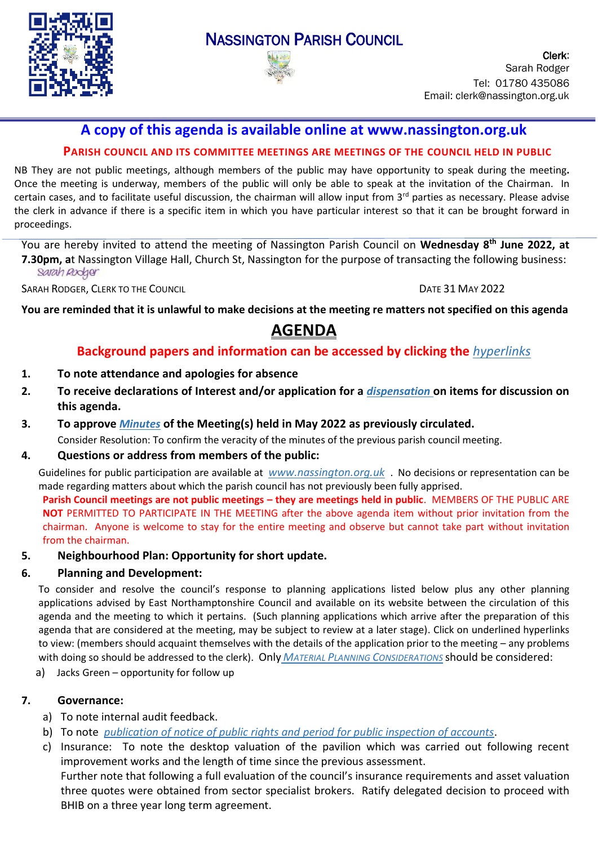

## NASSINGTON PARISH COUNCIL



Clerk: Sarah Rodger Tel: 01780 435086 Email: clerk@nassington.org.uk

## **A copy of this agenda is available online at www.nassington.org.uk**

### **PARISH COUNCIL AND ITS COMMITTEE MEETINGS ARE MEETINGS OF THE COUNCIL HELD IN PUBLIC**

NB They are not public meetings, although members of the public may have opportunity to speak during the meeting**.**  Once the meeting is underway, members of the public will only be able to speak at the invitation of the Chairman. In certain cases, and to facilitate useful discussion, the chairman will allow input from  $3<sup>rd</sup>$  parties as necessary. Please advise the clerk in advance if there is a specific item in which you have particular interest so that it can be brought forward in proceedings.

You are hereby invited to attend the meeting of Nassington Parish Council on **Wednesday 8 th June 2022, at 7.30pm, a**t Nassington Village Hall, Church St, Nassington for the purpose of transacting the following business: Sarah Rodger

SARAH RODGER, CLERK TO THE COUNCIL **DATE 31 MAY 2022** 

**You are reminded that it is unlawful to make decisions at the meeting re matters not specified on this agenda** 

# **AGENDA**

## **Background papers and information can be accessed by clicking the** *[hyperlinks](https://en.wikipedia.org/wiki/Hyperlink)*

- **1. To note attendance and apologies for absence**
- **2. To receive [declarations](http://www.east-northamptonshire.gov.uk/info/723/parish_and_town_councils/1464/deene_and_deenethorpe_parish_council) of Interest and/or application for a** *[dispensation](https://www.dropbox.com/s/gcj2iv12s4iwf9h/Dispensation%20Request%20Form.dotx?dl=0)* **on items for discussion on this agenda.**
- **3. To approve** *[Minutes](https://nassington.org.uk/parish-council/agendas-and-minutes/)* **of the Meeting(s) held in May 2022 as previously circulated.**  Consider Resolution: To confirm the veracity of the minutes of the previous parish council meeting.
- **4. Questions or address from members of the public:**

Guidelines for public participation are available at *[www.nassington.org.uk](https://nassington.org.uk/accounts-and-audit/)* . No decisions or representation can be made regarding matters about which the parish council has not previously been fully apprised.

**Parish Council meetings are not public meetings – they are meetings held in public**. MEMBERS OF THE PUBLIC ARE **NOT** PERMITTED TO PARTICIPATE IN THE MEETING after the above agenda item without prior invitation from the chairman. Anyone is welcome to stay for the entire meeting and observe but cannot take part without invitation from the chairman.

**5. Neighbourhood Plan: Opportunity for short update.** 

#### **6. Planning and Development:**

To consider and resolve the council's response to planning applications listed below plus any other planning applications advised by East Northamptonshire Council and available on its website between the circulation of this agenda and the meeting to which it pertains. (Such planning applications which arrive after the preparation of this agenda that are considered at the meeting, may be subject to review at a later stage). Click on underlined hyperlinks to view: (members should acquaint themselves with the details of the application prior to the meeting – any problems with doing so should be addressed to the clerk). Only *MATERIAL PLANNING C[ONSIDERATIONS](https://www.dropbox.com/s/wervd7qjope1n6f/Guidance%20Note%20on%20Material%20Planning%20Considerations%20October%202015.pdf?dl=0)* should be considered:

a) Jacks Green – opportunity for follow up

#### **7. Governance:**

- a) To note internal audit feedback.
- b) To note *[publication of notice of public rights and period for public inspection of accounts](https://nassington.org.uk/wp-content/uploads/2022/05/22.05-Notice-exercise-of-public-rights-2021-22.pdf)*.
- c) Insurance: To note the desktop valuation of the pavilion which was carried out following recent improvement works and the length of time since the previous assessment.

Further note that following a full evaluation of the council's insurance requirements and asset valuation three quotes were obtained from sector specialist brokers. Ratify delegated decision to proceed with BHIB on a three year long term agreement.